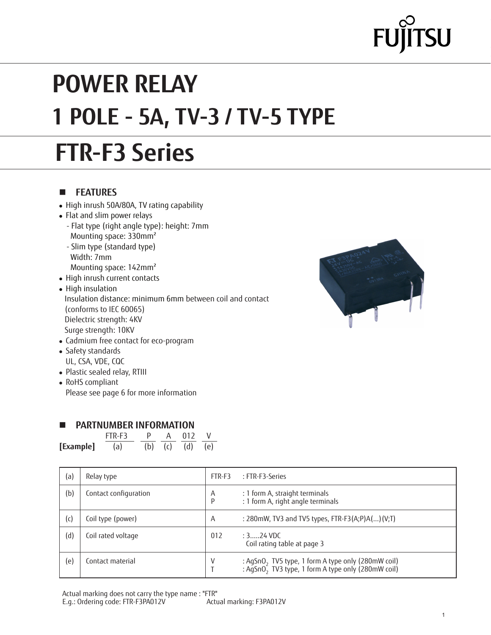# $TSU$

# **POWER RELAY 1 POLE - 5A, TV-3 / TV-5 TYPE**

# **FTR-F3 Series**

#### **n FEATURES**

- High inrush 50A/80A, TV rating capability
- Flat and slim power relays
	- Flat type (right angle type): height: 7mm Mounting space: 330mm²
	- Slim type (standard type) Width: 7mm
	- Mounting space: 142mm²
- High inrush current contacts
- High insulation Insulation distance: minimum 6mm between coil and contact (conforms to IEC 60065) Dielectric strength: 4KV Surge strength: 10KV • Cadmium free contact for eco-program



| UL, CSA, VDE, CQC |             |
|-------------------|-------------|
|                   | DL. D. TILL |

• Plastic sealed relay, RTIII

• Safety standards

• RoHS compliant Please see page 6 for more information

#### **PARTNUMBER INFORMATION**

|           | FTR-F3 |  | 01 <sub>2</sub> |     |
|-----------|--------|--|-----------------|-----|
| [Example] | (a)    |  | (b) (c) (d)     | (e) |

| (a) | Relay type            | FTR-F3 | : FTR-F3-Series                                                                                                                  |
|-----|-----------------------|--------|----------------------------------------------------------------------------------------------------------------------------------|
| (b) | Contact configuration | A<br>p | : 1 form A, straight terminals<br>: 1 form A, right angle terminals                                                              |
| (c) | Coil type (power)     | A      | : 280mW, TV3 and TV5 types, FTR-F3(A;P)A()(V;T)                                                                                  |
| (d) | Coil rated voltage    | 012    | : $3$ 24 VDC<br>Coil rating table at page 3                                                                                      |
| (e) | Contact material      | V      | : AgSnO <sub>2</sub> TV5 type, 1 form A type only (280mW coil)<br>: AgSnO <sub>2</sub> TV3 type, 1 form A type only (280mW coil) |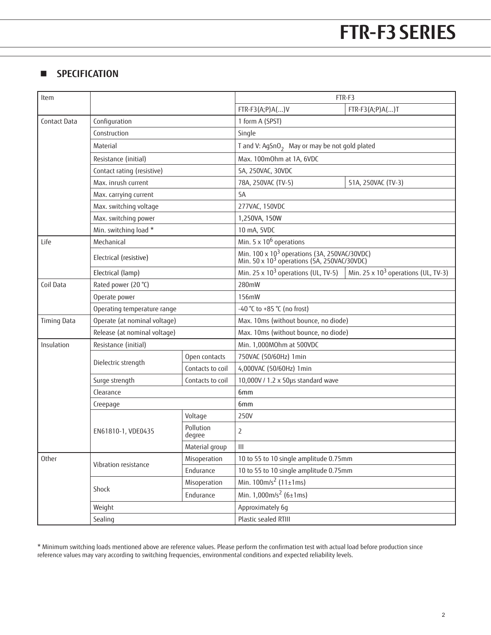#### **n SPECIFICATION**

| Item               |                                                   |                     | FTR-F3                                                                                                              |                                        |  |  |
|--------------------|---------------------------------------------------|---------------------|---------------------------------------------------------------------------------------------------------------------|----------------------------------------|--|--|
|                    |                                                   |                     | $FTR-F3(A;P)A()V$                                                                                                   | $FTR-F3(A;P)A()T$                      |  |  |
| Contact Data       | Configuration                                     |                     | 1 form A (SPST)                                                                                                     |                                        |  |  |
|                    | Construction                                      |                     | Single                                                                                                              |                                        |  |  |
|                    | Material                                          |                     | T and V: AgSnO <sub>2</sub> May or may be not gold plated                                                           |                                        |  |  |
|                    | Resistance (initial)                              |                     | Max. 100m0hm at 1A, 6VDC                                                                                            |                                        |  |  |
|                    | Contact rating (resistive)<br>Max. inrush current |                     | 5A, 250VAC, 30VDC                                                                                                   |                                        |  |  |
|                    |                                                   |                     | 78A, 250VAC (TV-5)                                                                                                  | 51A, 250VAC (TV-3)                     |  |  |
|                    | Max. carrying current                             |                     | 5A                                                                                                                  |                                        |  |  |
|                    | Max. switching voltage                            |                     | 277VAC, 150VDC                                                                                                      |                                        |  |  |
|                    | Max. switching power                              |                     | 1,250VA, 150W                                                                                                       |                                        |  |  |
|                    | Min. switching load *                             |                     | 10 mA, 5VDC                                                                                                         |                                        |  |  |
| Life               | Mechanical                                        |                     | Min. $5 \times 10^6$ operations                                                                                     |                                        |  |  |
|                    | Electrical (resistive)                            |                     | Min. 100 x 10 <sup>3</sup> operations (3A, 250VAC/30VDC)<br>Min. 50 x 10 <sup>3</sup> operations (5A, 250VAC/30VDC) |                                        |  |  |
|                    | Electrical (lamp)                                 |                     | Min. 25 x $10^3$ operations (UL, TV-5)                                                                              | Min. 25 x $10^3$ operations (UL, TV-3) |  |  |
| Coil Data          | Rated power (20 °C)                               |                     | 280mW                                                                                                               |                                        |  |  |
|                    | Operate power                                     |                     | 156mW                                                                                                               |                                        |  |  |
|                    | Operating temperature range                       |                     | -40 °C to +85 °C (no frost)                                                                                         |                                        |  |  |
| <b>Timing Data</b> | Operate (at nominal voltage)                      |                     | Max. 10ms (without bounce, no diode)                                                                                |                                        |  |  |
|                    | Release (at nominal voltage)                      |                     | Max. 10ms (without bounce, no diode)                                                                                |                                        |  |  |
| Insulation         | Resistance (initial)                              |                     | Min. 1,000MOhm at 500VDC                                                                                            |                                        |  |  |
|                    | Dielectric strength                               | Open contacts       | 750VAC (50/60Hz) 1min                                                                                               |                                        |  |  |
|                    |                                                   | Contacts to coil    | 4,000VAC (50/60Hz) 1min                                                                                             |                                        |  |  |
|                    | Surge strength                                    | Contacts to coil    | 10,000V / 1.2 x 50µs standard wave                                                                                  |                                        |  |  |
|                    | Clearance                                         |                     | 6mm                                                                                                                 |                                        |  |  |
|                    | Creepage                                          |                     | 6mm                                                                                                                 |                                        |  |  |
|                    |                                                   | Voltage             | 250V                                                                                                                |                                        |  |  |
|                    | EN61810-1, VDE0435                                | Pollution<br>degree | $\overline{2}$                                                                                                      |                                        |  |  |
|                    |                                                   | Material group      | Ш                                                                                                                   |                                        |  |  |
| Other              | Vibration resistance                              | Misoperation        | 10 to 55 to 10 single amplitude 0.75mm                                                                              |                                        |  |  |
|                    |                                                   | Endurance           | 10 to 55 to 10 single amplitude 0.75mm                                                                              |                                        |  |  |
|                    |                                                   | Misoperation        | Min. $100m/s^2$ (11±1ms)                                                                                            |                                        |  |  |
|                    | Shock                                             | Endurance           | Min. $1,000$ m/s <sup>2</sup> (6±1ms)                                                                               |                                        |  |  |
|                    | Weight                                            |                     |                                                                                                                     | Approximately 6g                       |  |  |
|                    | Sealing                                           |                     | Plastic sealed RTIII                                                                                                |                                        |  |  |

\* Minimum switching loads mentioned above are reference values. Please perform the confirmation test with actual load before production since reference values may vary according to switching frequencies, environmental conditions and expected reliability levels.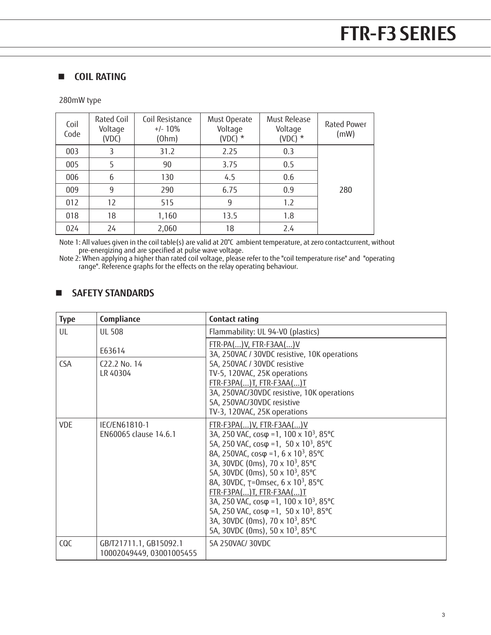#### $\blacksquare$  **COIL RATING**

280mW type

| Coil<br>Code | Rated Coil<br>Voltage<br>(VDC) | Coil Resistance<br>$+/- 10\%$<br>(Ohm) | Must Operate<br>Voltage<br>(VDC) $*$ | Must Release<br>Voltage<br>(VDC) $*$ | Rated Power<br>(mW) |
|--------------|--------------------------------|----------------------------------------|--------------------------------------|--------------------------------------|---------------------|
| 003          | 3                              | 31.2                                   | 2.25                                 | 0.3                                  |                     |
| 005          |                                | 90                                     | 3.75                                 | 0.5                                  |                     |
| 006          | 6                              | 130                                    | 4.5                                  | 0.6                                  |                     |
| 009          | 9                              | 290                                    | 6.75                                 | 0.9                                  | 280                 |
| 012          | 12                             | 515                                    | 9                                    | 1.2                                  |                     |
| 018          | 18                             | 1,160                                  | 13.5                                 | 1.8                                  |                     |
| 024          | 24                             | 2,060                                  | 18                                   | 2.4                                  |                     |

Note 1: All values given in the coil table(s) are valid at 20°C ambient temperature, at zero contactcurrent, without pre-energizing and are specified at pulse wave voltage.

Note 2: When applying a higher than rated coil voltage, please refer to the "coil temperature rise" and "operating range". Reference graphs for the effects on the relay operating behaviour.

#### n **SAFETY STANDARDS**

| <b>Type</b> | Compliance                                         | Contact rating                                                                                                                                                                                                                                                                                                                                                                                                                                                                                                                                                                                        |
|-------------|----------------------------------------------------|-------------------------------------------------------------------------------------------------------------------------------------------------------------------------------------------------------------------------------------------------------------------------------------------------------------------------------------------------------------------------------------------------------------------------------------------------------------------------------------------------------------------------------------------------------------------------------------------------------|
| UL          | <b>UL 508</b>                                      | Flammability: UL 94-V0 (plastics)                                                                                                                                                                                                                                                                                                                                                                                                                                                                                                                                                                     |
|             | E63614                                             | $FTR-PA()V, FTR-F3AA()V$<br>3A, 250VAC / 30VDC resistive, 10K operations                                                                                                                                                                                                                                                                                                                                                                                                                                                                                                                              |
| <b>CSA</b>  | $C22.2$ No. 14<br>LR 40304                         | 5A, 250VAC / 30VDC resistive<br>TV-5, 120VAC, 25K operations<br>FTR-F3PA()T, FTR-F3AA()T<br>3A, 250VAC/30VDC resistive, 10K operations<br>5A, 250VAC/30VDC resistive<br>TV-3, 120VAC, 25K operations                                                                                                                                                                                                                                                                                                                                                                                                  |
| <b>VDE</b>  | IEC/EN61810-1<br>EN60065 clause 14.6.1             | FTR-F3PA()V, FTR-F3AA()V<br>3A, 250 VAC, cosφ =1, 100 x 10 <sup>3</sup> , 85°C<br>5A, 250 VAC, $cos\varphi = 1$ , 50 x 10 <sup>3</sup> , 85 °C<br>8A, 250VAC, cosφ =1, 6 x 10 <sup>3</sup> , 85°C<br>3A, 30VDC (0ms), 70 x 10 <sup>3</sup> , 85°C<br>5A, 30VDC (0ms), 50 x 10 <sup>3</sup> , 85°C<br>8A, 30VDC, T=0msec, 6 x 10 <sup>3</sup> , 85°C<br>FTR-F3PA()T, FTR-F3AA()T<br>3A, 250 VAC, cosφ =1, 100 x 10 <sup>3</sup> , 85°C<br>5A, 250 VAC, $cos\varphi = 1$ , 50 x 10 <sup>3</sup> , 85 °C<br>3A, 30VDC (0ms), 70 x 10 <sup>3</sup> , 85°C<br>5A, 30VDC (0ms), 50 x 10 <sup>3</sup> , 85°C |
| COC         | GB/T21711.1, GB15092.1<br>10002049449, 03001005455 | 5A 250VAC/30VDC                                                                                                                                                                                                                                                                                                                                                                                                                                                                                                                                                                                       |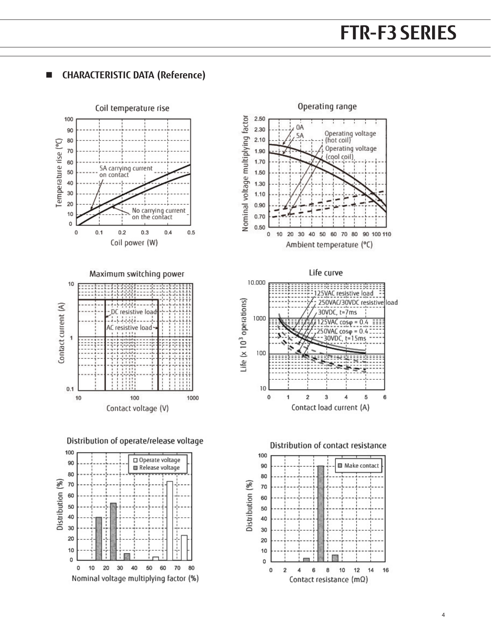

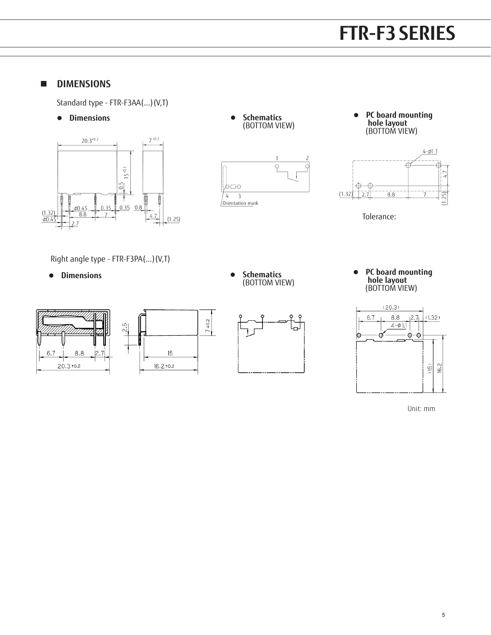## **FTR-K1 SERIES FTR-F3 SERIES**

#### **n DIMENSIONS**

Standard type - FTR-F3AA(...)(V,T)

 $\bullet$  Dimensions











Tolerance:

Right angle type - FTR-F3PA(...)(V,T)

 $\bullet$  Dimensions





 $7^{+0.2}$ 





**•** PC board mounting  **hole layout** (BOTTOM VIEW)



Unit: mm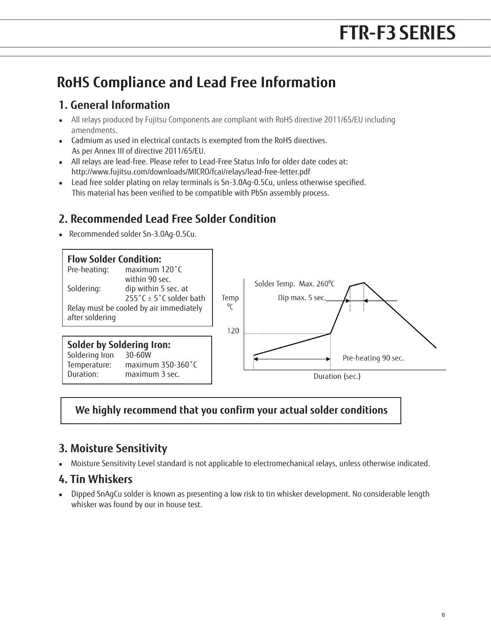### **RoHS Compliance and Lead Free Information**

#### **1. General Information**

- All relays produced by Fujitsu Components are compliant with RoHS directive 2011/65/EU including amendments.
- <sup>l</sup> Cadmium as used in electrical contacts is exempted from the RoHS directives. As per Annex III of directive 2011/65/EU.
- All relays are lead-free. Please refer to Lead-Free Status Info for older date codes at: http://www.fujitsu.com/downloads/MICRO/fcai/relays/lead-free-letter.pdf
- Lead free solder plating on relay terminals is Sn-3.0Ag-0.5Cu, unless otherwise specified. This material has been verified to be compatible with PbSn assembly process.

#### **2. Recommended Lead Free Solder Condition**

• Recommended solder Sn-3.0Ag-0.5Cu.



#### **We highly recommend that you confirm your actual solder conditions**

#### **3. Moisture Sensitivity**

<sup>l</sup> Moisture Sensitivity Level standard is not applicable to electromechanical relays, unless otherwise indicated.

#### **4. Tin Whiskers**

• Dipped SnAgCu solder is known as presenting a low risk to tin whisker development. No considerable length whisker was found by our in house test.